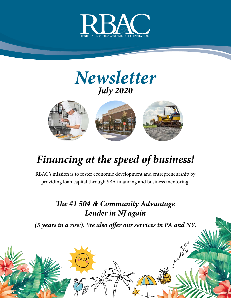





## *Financing at the speed of business!*

RBAC's mission is to foster economic development and entrepreneurship by providing loan capital through SBA financing and business mentoring.

#### *The #1 504 & Community Advantage Lender in NJ again*

*(5 years in a row). We also offer our services in PA and NY.*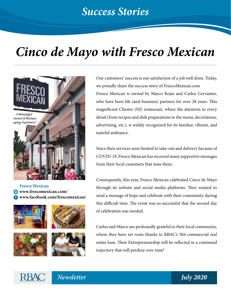# *Cinco de Mayo with Fresco Mexican*



**Fresco Mexican www.frescomexican.com/ www.facebook.com/frescomexican/**









Our customers' success is our satisfaction of a job well done. Today, we proudly share the success story of FrescoMexican.com Fresco Mexican is owned by Marco Rojas and Carlos Cervantes, who have been life (and business) partners for over 28 years. This magnificent Chester (NJ) restaurant, where the attention to every detail (from recipes and dish preparations to the menu, decorations, advertising, etc.), is widely recognized for its familiar, vibrant, and tasteful ambiance.

Since their services were limited to take-out and delivery because of COVID-19, Fresco Mexican has received many supportive messages from their local customers that miss them.

Consequently, this year, Fresco Mexican celebrated Cinco de Mayo through its website and social media platforms. They wanted to send a message of hope and celebrate with their community during this difficult time. The event was so successful that the second day of celebration was needed.

Carlos and Marco are profoundly grateful to their local community, where they have set roots thanks to RBAC's 504 commercial real estate loan. Their Entrepreneurship will be reflected in a continued trajectory that will perdure over time!



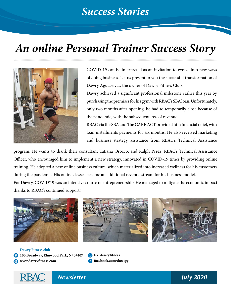#### *Success Stories*

### *An online Personal Trainer Success Story*



COVID-19 can be interpreted as an invitation to evolve into new ways of doing business. Let us present to you the successful transformation of Dawry Aguasvivas, the owner of Dawry Fitness Club.

Dawry achieved a significant professional milestone earlier this year by purchasing the premises for his gym with RBAC's SBA loan. Unfortunately, only two months after opening, he had to temporarily close because of the pandemic, with the subsequent loss of revenue.

RBAC via the SBA and The CARE ACT provided him financial relief, with loan installments payments for six months. He also received marketing and business strategy assistance from RBAC's Technical Assistance

program. He wants to thank their consultant Tatiana Orozco, and Ralph Perez, RBAC's Technical Assistance Officer, who encouraged him to implement a new strategy, innovated in COVID-19 times by providing online training. He adopted a new online business culture, which materialized into increased wellness for his customers during the pandemic. His online classes became an additional revenue stream for his business model.

For Dawry, COVID'19 was an intensive course of entrepreneurship. He managed to mitigate the economic impact thanks to RBAC's continued support!



**Dawry Fitness club 100 Broadway, Elmwood Park, NJ 07407 www.dawryfitness.com**

**IG: dawryfitness facebook.com/dawtpy**